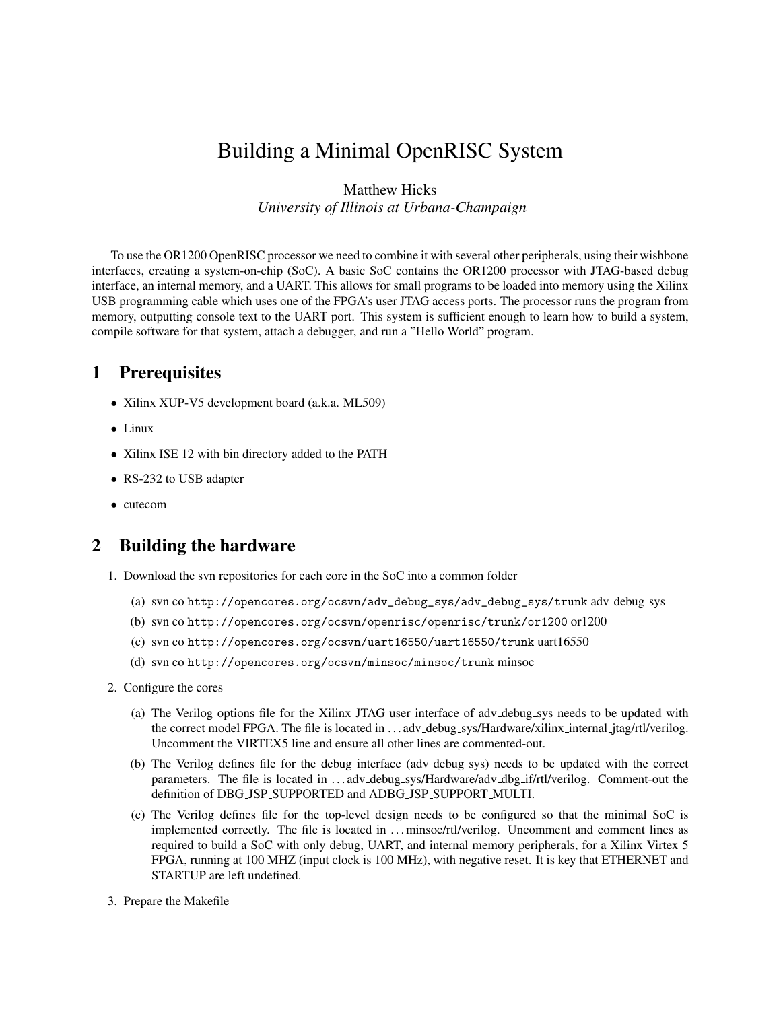# Building a Minimal OpenRISC System

Matthew Hicks *University of Illinois at Urbana-Champaign*

To use the OR1200 OpenRISC processor we need to combine it with several other peripherals, using their wishbone interfaces, creating a system-on-chip (SoC). A basic SoC contains the OR1200 processor with JTAG-based debug interface, an internal memory, and a UART. This allows for small programs to be loaded into memory using the Xilinx USB programming cable which uses one of the FPGA's user JTAG access ports. The processor runs the program from memory, outputting console text to the UART port. This system is sufficient enough to learn how to build a system, compile software for that system, attach a debugger, and run a "Hello World" program.

#### 1 Prerequisites

- Xilinx XUP-V5 development board (a.k.a. ML509)
- Linux
- Xilinx ISE 12 with bin directory added to the PATH
- RS-232 to USB adapter
- cutecom

## 2 Building the hardware

- 1. Download the svn repositories for each core in the SoC into a common folder
	- (a) svn co http://opencores.org/ocsvn/adv\_debug\_sys/adv\_debug\_sys/trunk adv debug sys
	- (b) svn co http://opencores.org/ocsvn/openrisc/openrisc/trunk/or1200 or1200
	- (c) svn co http://opencores.org/ocsvn/uart16550/uart16550/trunk uart16550
	- (d) svn co http://opencores.org/ocsvn/minsoc/minsoc/trunk minsoc
- 2. Configure the cores
	- (a) The Verilog options file for the Xilinx JTAG user interface of adv debug sys needs to be updated with the correct model FPGA. The file is located in ... adv\_debug\_sys/Hardware/xilinx\_internal\_jtag/rtl/verilog. Uncomment the VIRTEX5 line and ensure all other lines are commented-out.
	- (b) The Verilog defines file for the debug interface (adv debug sys) needs to be updated with the correct parameters. The file is located in ...adv\_debug\_sys/Hardware/adv\_dbg\_if/rtl/verilog. Comment-out the definition of DBG JSP SUPPORTED and ADBG JSP SUPPORT MULTI.
	- (c) The Verilog defines file for the top-level design needs to be configured so that the minimal SoC is implemented correctly. The file is located in . . . minsoc/rtl/verilog. Uncomment and comment lines as required to build a SoC with only debug, UART, and internal memory peripherals, for a Xilinx Virtex 5 FPGA, running at 100 MHZ (input clock is 100 MHz), with negative reset. It is key that ETHERNET and STARTUP are left undefined.
- 3. Prepare the Makefile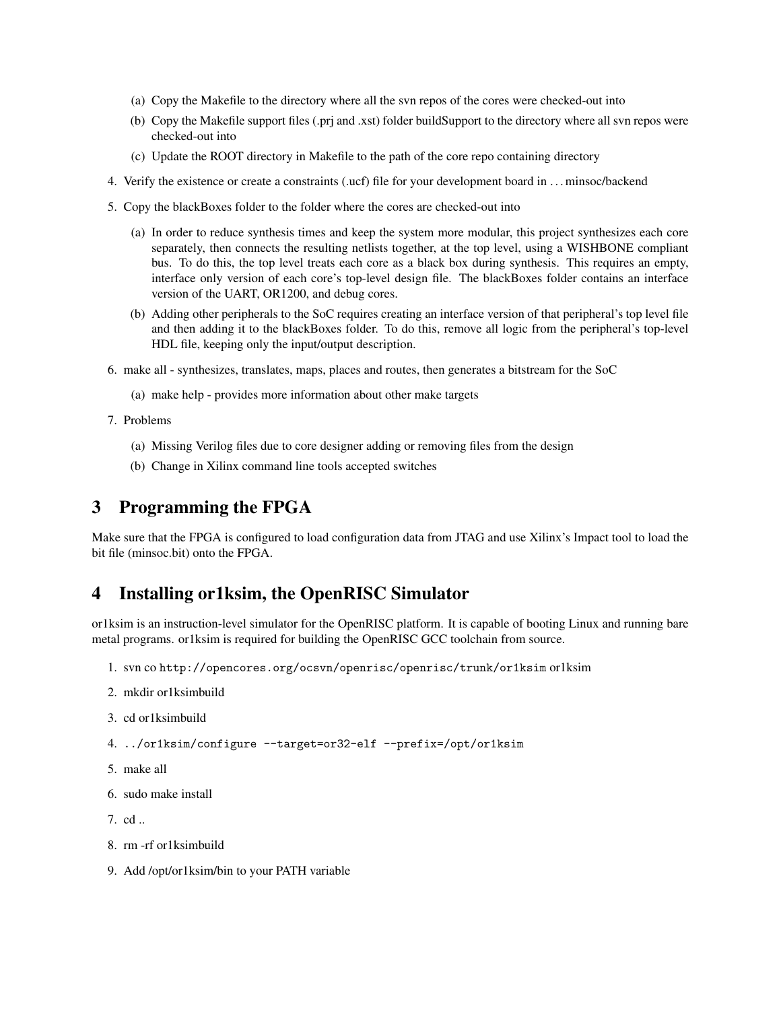- (a) Copy the Makefile to the directory where all the svn repos of the cores were checked-out into
- (b) Copy the Makefile support files (.prj and .xst) folder buildSupport to the directory where all svn repos were checked-out into
- (c) Update the ROOT directory in Makefile to the path of the core repo containing directory
- 4. Verify the existence or create a constraints (.ucf) file for your development board in . . . minsoc/backend
- 5. Copy the blackBoxes folder to the folder where the cores are checked-out into
	- (a) In order to reduce synthesis times and keep the system more modular, this project synthesizes each core separately, then connects the resulting netlists together, at the top level, using a WISHBONE compliant bus. To do this, the top level treats each core as a black box during synthesis. This requires an empty, interface only version of each core's top-level design file. The blackBoxes folder contains an interface version of the UART, OR1200, and debug cores.
	- (b) Adding other peripherals to the SoC requires creating an interface version of that peripheral's top level file and then adding it to the blackBoxes folder. To do this, remove all logic from the peripheral's top-level HDL file, keeping only the input/output description.
- 6. make all synthesizes, translates, maps, places and routes, then generates a bitstream for the SoC
	- (a) make help provides more information about other make targets
- 7. Problems
	- (a) Missing Verilog files due to core designer adding or removing files from the design
	- (b) Change in Xilinx command line tools accepted switches

### 3 Programming the FPGA

Make sure that the FPGA is configured to load configuration data from JTAG and use Xilinx's Impact tool to load the bit file (minsoc.bit) onto the FPGA.

#### 4 Installing or1ksim, the OpenRISC Simulator

or1ksim is an instruction-level simulator for the OpenRISC platform. It is capable of booting Linux and running bare metal programs. or1ksim is required for building the OpenRISC GCC toolchain from source.

- 1. svn co http://opencores.org/ocsvn/openrisc/openrisc/trunk/or1ksim or1ksim
- 2. mkdir or1ksimbuild
- 3. cd or1ksimbuild
- 4. ../or1ksim/configure --target=or32-elf --prefix=/opt/or1ksim
- 5. make all
- 6. sudo make install
- 7. cd ..
- 8. rm -rf or1ksimbuild
- 9. Add /opt/or1ksim/bin to your PATH variable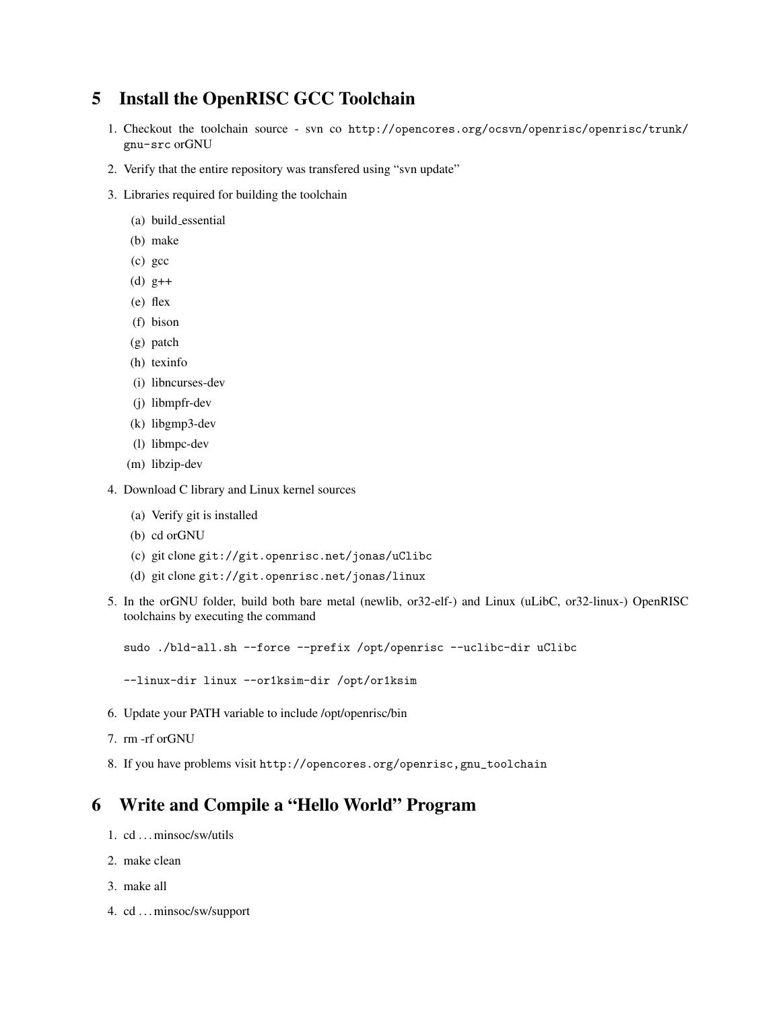#### 5 Install the OpenRISC GCC Toolchain

- 1. Checkout the toolchain source svn co http://opencores.org/ocsvn/openrisc/openrisc/trunk/ gnu-src orGNU
- 2. Verify that the entire repository was transfered using "svn update"
- 3. Libraries required for building the toolchain
	- (a) build essential
	- (b) make
	- (c) gcc
	- (d) g++
	- (e) flex
	- (f) bison
	- (g) patch
	- (h) texinfo
	- (i) libncurses-dev
	- (j) libmpfr-dev
	- (k) libgmp3-dev
	- (l) libmpc-dev
	- (m) libzip-dev
- 4. Download C library and Linux kernel sources
	- (a) Verify git is installed
	- (b) cd orGNU
	- (c) git clone git://git.openrisc.net/jonas/uClibc
	- (d) git clone git://git.openrisc.net/jonas/linux
- 5. In the orGNU folder, build both bare metal (newlib, or32-elf-) and Linux (uLibC, or32-linux-) OpenRISC toolchains by executing the command

sudo ./bld-all.sh --force --prefix /opt/openrisc --uclibc-dir uClibc

--linux-dir linux --or1ksim-dir /opt/or1ksim

- 6. Update your PATH variable to include /opt/openrisc/bin
- 7. rm -rf orGNU
- 8. If you have problems visit http://opencores.org/openrisc,gnu\_toolchain

# 6 Write and Compile a "Hello World" Program

- 1. cd . . . minsoc/sw/utils
- 2. make clean
- 3. make all
- 4. cd . . . minsoc/sw/support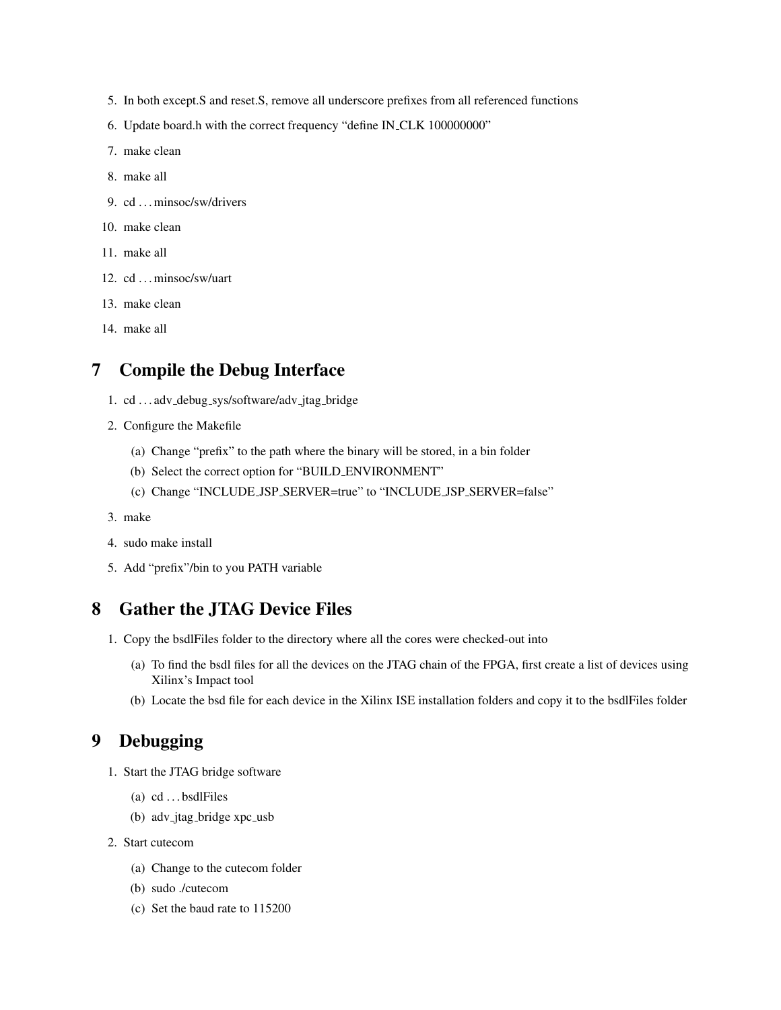- 5. In both except.S and reset.S, remove all underscore prefixes from all referenced functions
- 6. Update board.h with the correct frequency "define IN CLK 100000000"
- 7. make clean
- 8. make all
- 9. cd ... minsoc/sw/drivers
- 10. make clean
- 11. make all
- 12. cd ... minsoc/sw/uart
- 13. make clean
- 14. make all

### 7 Compile the Debug Interface

- 1. cd . . . adv debug sys/software/adv jtag bridge
- 2. Configure the Makefile
	- (a) Change "prefix" to the path where the binary will be stored, in a bin folder
	- (b) Select the correct option for "BUILD ENVIRONMENT"
	- (c) Change "INCLUDE JSP SERVER=true" to "INCLUDE JSP SERVER=false"
- 3. make
- 4. sudo make install
- 5. Add "prefix"/bin to you PATH variable

### 8 Gather the JTAG Device Files

- 1. Copy the bsdlFiles folder to the directory where all the cores were checked-out into
	- (a) To find the bsdl files for all the devices on the JTAG chain of the FPGA, first create a list of devices using Xilinx's Impact tool
	- (b) Locate the bsd file for each device in the Xilinx ISE installation folders and copy it to the bsdlFiles folder

### 9 Debugging

- 1. Start the JTAG bridge software
	- (a)  $cd \dots bsdlFiles$
	- (b) adv\_jtag\_bridge xpc\_usb
- 2. Start cutecom
	- (a) Change to the cutecom folder
	- (b) sudo ./cutecom
	- (c) Set the baud rate to 115200